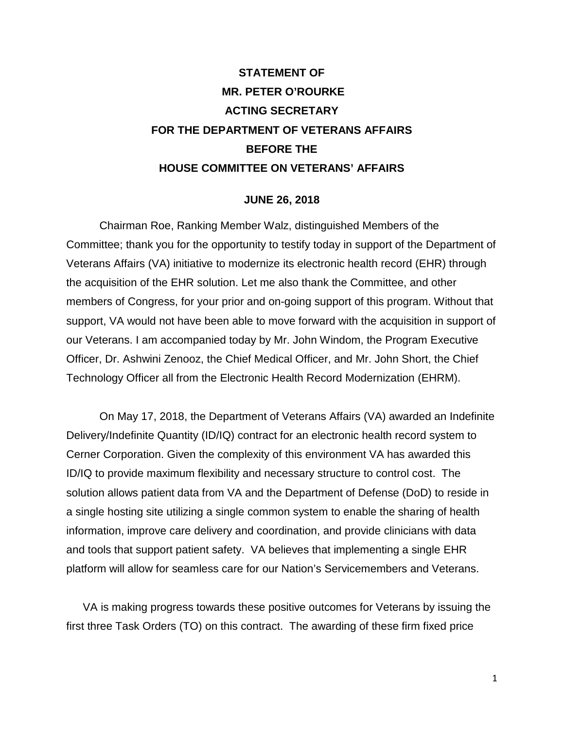# **STATEMENT OF MR. PETER O'ROURKE ACTING SECRETARY FOR THE DEPARTMENT OF VETERANS AFFAIRS BEFORE THE HOUSE COMMITTEE ON VETERANS' AFFAIRS**

#### **JUNE 26, 2018**

Chairman Roe, Ranking Member Walz, distinguished Members of the Committee; thank you for the opportunity to testify today in support of the Department of Veterans Affairs (VA) initiative to modernize its electronic health record (EHR) through the acquisition of the EHR solution. Let me also thank the Committee, and other members of Congress, for your prior and on-going support of this program. Without that support, VA would not have been able to move forward with the acquisition in support of our Veterans. I am accompanied today by Mr. John Windom, the Program Executive Officer, Dr. Ashwini Zenooz, the Chief Medical Officer, and Mr. John Short, the Chief Technology Officer all from the Electronic Health Record Modernization (EHRM).

On May 17, 2018, the Department of Veterans Affairs (VA) awarded an Indefinite Delivery/Indefinite Quantity (ID/IQ) contract for an electronic health record system to Cerner Corporation. Given the complexity of this environment VA has awarded this ID/IQ to provide maximum flexibility and necessary structure to control cost. The solution allows patient data from VA and the Department of Defense (DoD) to reside in a single hosting site utilizing a single common system to enable the sharing of health information, improve care delivery and coordination, and provide clinicians with data and tools that support patient safety. VA believes that implementing a single EHR platform will allow for seamless care for our Nation's Servicemembers and Veterans.

VA is making progress towards these positive outcomes for Veterans by issuing the first three Task Orders (TO) on this contract. The awarding of these firm fixed price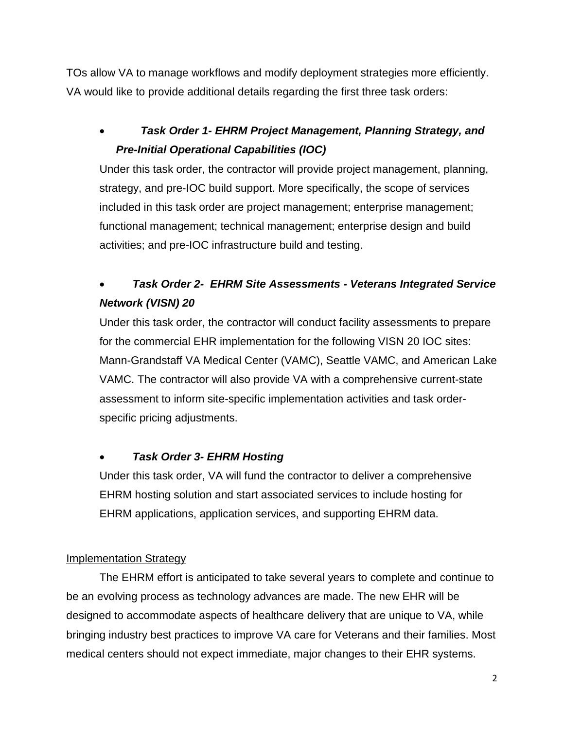TOs allow VA to manage workflows and modify deployment strategies more efficiently. VA would like to provide additional details regarding the first three task orders:

• *Task Order 1- EHRM Project Management, Planning Strategy, and Pre-Initial Operational Capabilities (IOC)*

Under this task order, the contractor will provide project management, planning, strategy, and pre-IOC build support. More specifically, the scope of services included in this task order are project management; enterprise management; functional management; technical management; enterprise design and build activities; and pre-IOC infrastructure build and testing.

## • *Task Order 2- EHRM Site Assessments - Veterans Integrated Service Network (VISN) 20*

Under this task order, the contractor will conduct facility assessments to prepare for the commercial EHR implementation for the following VISN 20 IOC sites: Mann-Grandstaff VA Medical Center (VAMC), Seattle VAMC, and American Lake VAMC. The contractor will also provide VA with a comprehensive current-state assessment to inform site-specific implementation activities and task orderspecific pricing adjustments.

## • *Task Order 3- EHRM Hosting*

Under this task order, VA will fund the contractor to deliver a comprehensive EHRM hosting solution and start associated services to include hosting for EHRM applications, application services, and supporting EHRM data.

### Implementation Strategy

The EHRM effort is anticipated to take several years to complete and continue to be an evolving process as technology advances are made. The new EHR will be designed to accommodate aspects of healthcare delivery that are unique to VA, while bringing industry best practices to improve VA care for Veterans and their families. Most medical centers should not expect immediate, major changes to their EHR systems.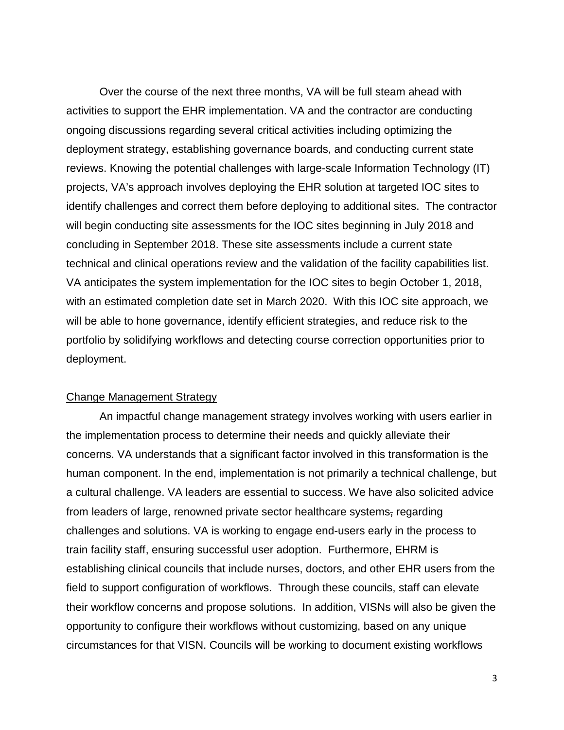Over the course of the next three months, VA will be full steam ahead with activities to support the EHR implementation. VA and the contractor are conducting ongoing discussions regarding several critical activities including optimizing the deployment strategy, establishing governance boards, and conducting current state reviews. Knowing the potential challenges with large-scale Information Technology (IT) projects, VA's approach involves deploying the EHR solution at targeted IOC sites to identify challenges and correct them before deploying to additional sites. The contractor will begin conducting site assessments for the IOC sites beginning in July 2018 and concluding in September 2018. These site assessments include a current state technical and clinical operations review and the validation of the facility capabilities list. VA anticipates the system implementation for the IOC sites to begin October 1, 2018, with an estimated completion date set in March 2020. With this IOC site approach, we will be able to hone governance, identify efficient strategies, and reduce risk to the portfolio by solidifying workflows and detecting course correction opportunities prior to deployment.

#### Change Management Strategy

An impactful change management strategy involves working with users earlier in the implementation process to determine their needs and quickly alleviate their concerns. VA understands that a significant factor involved in this transformation is the human component. In the end, implementation is not primarily a technical challenge, but a cultural challenge. VA leaders are essential to success. We have also solicited advice from leaders of large, renowned private sector healthcare systems, regarding challenges and solutions. VA is working to engage end-users early in the process to train facility staff, ensuring successful user adoption. Furthermore, EHRM is establishing clinical councils that include nurses, doctors, and other EHR users from the field to support configuration of workflows. Through these councils, staff can elevate their workflow concerns and propose solutions. In addition, VISNs will also be given the opportunity to configure their workflows without customizing, based on any unique circumstances for that VISN. Councils will be working to document existing workflows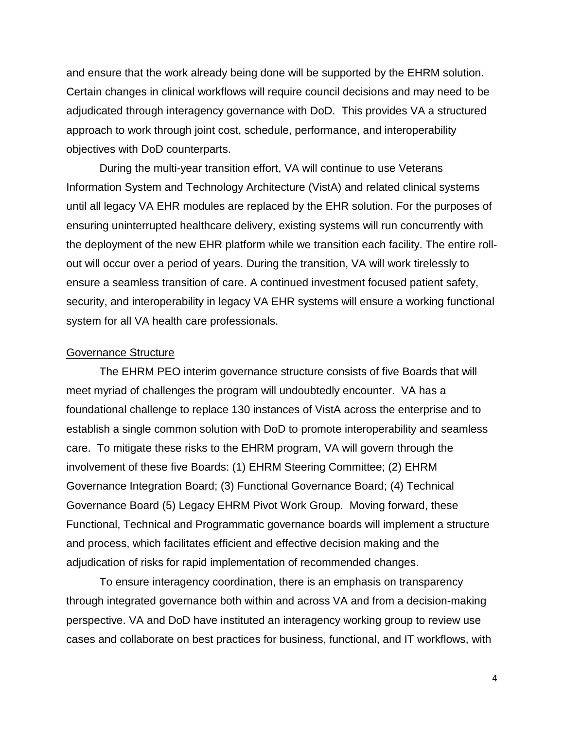and ensure that the work already being done will be supported by the EHRM solution. Certain changes in clinical workflows will require council decisions and may need to be adjudicated through interagency governance with DoD. This provides VA a structured approach to work through joint cost, schedule, performance, and interoperability objectives with DoD counterparts.

During the multi-year transition effort, VA will continue to use Veterans Information System and Technology Architecture (VistA) and related clinical systems until all legacy VA EHR modules are replaced by the EHR solution. For the purposes of ensuring uninterrupted healthcare delivery, existing systems will run concurrently with the deployment of the new EHR platform while we transition each facility. The entire rollout will occur over a period of years. During the transition, VA will work tirelessly to ensure a seamless transition of care. A continued investment focused patient safety, security, and interoperability in legacy VA EHR systems will ensure a working functional system for all VA health care professionals.

#### Governance Structure

The EHRM PEO interim governance structure consists of five Boards that will meet myriad of challenges the program will undoubtedly encounter. VA has a foundational challenge to replace 130 instances of VistA across the enterprise and to establish a single common solution with DoD to promote interoperability and seamless care. To mitigate these risks to the EHRM program, VA will govern through the involvement of these five Boards: (1) EHRM Steering Committee; (2) EHRM Governance Integration Board; (3) Functional Governance Board; (4) Technical Governance Board (5) Legacy EHRM Pivot Work Group. Moving forward, these Functional, Technical and Programmatic governance boards will implement a structure and process, which facilitates efficient and effective decision making and the adjudication of risks for rapid implementation of recommended changes.

To ensure interagency coordination, there is an emphasis on transparency through integrated governance both within and across VA and from a decision-making perspective. VA and DoD have instituted an interagency working group to review use cases and collaborate on best practices for business, functional, and IT workflows, with